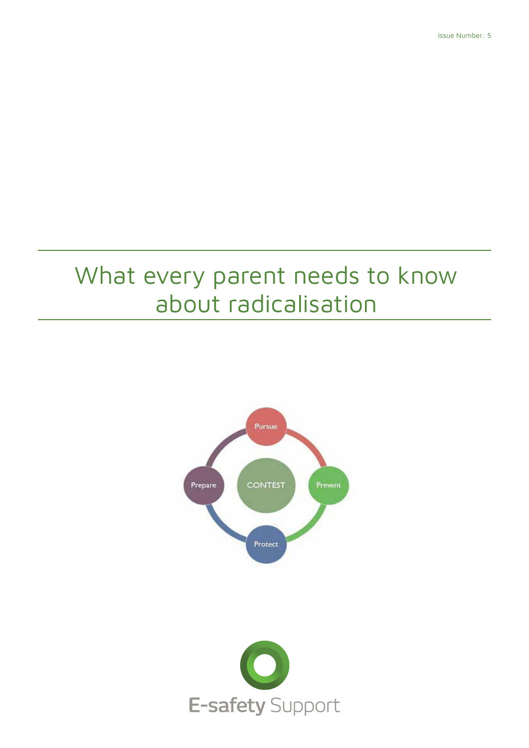# What every parent needs to know about radicalisation



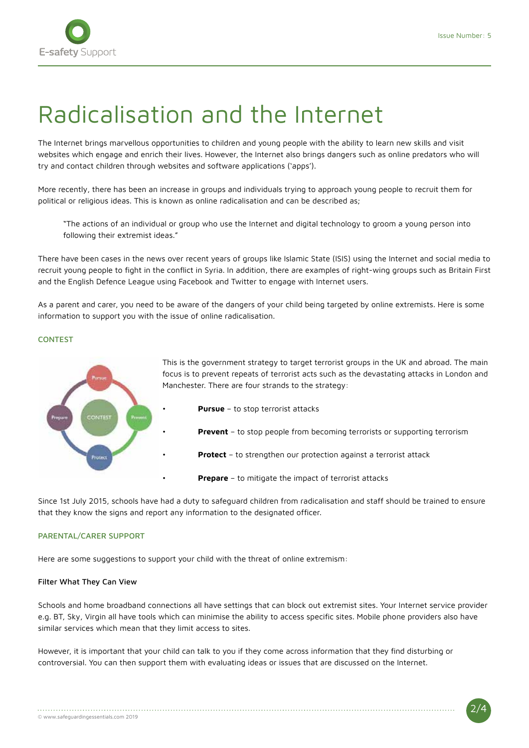

# Radicalisation and the Internet

The Internet brings marvellous opportunities to children and young people with the ability to learn new skills and visit websites which engage and enrich their lives. However, the Internet also brings dangers such as online predators who will try and contact children through websites and software applications ('apps').

More recently, there has been an increase in groups and individuals trying to approach young people to recruit them for political or religious ideas. This is known as online radicalisation and can be described as;

"The actions of an individual or group who use the Internet and digital technology to groom a young person into following their extremist ideas."

There have been cases in the news over recent years of groups like Islamic State (ISIS) using the Internet and social media to recruit young people to fight in the conflict in Syria. In addition, there are examples of right-wing groups such as Britain First and the English Defence League using Facebook and Twitter to engage with Internet users.

As a parent and carer, you need to be aware of the dangers of your child being targeted by online extremists. Here is some information to support you with the issue of online radicalisation.

## CONTEST



This is the government strategy to target terrorist groups in the UK and abroad. The main focus is to prevent repeats of terrorist acts such as the devastating attacks in London and Manchester. There are four strands to the strategy:

- **Pursue** to stop terrorist attacks
- **Prevent** to stop people from becoming terrorists or supporting terrorism
- **Protect** to strengthen our protection against a terrorist attack
- **Prepare** to mitigate the impact of terrorist attacks

Since 1st July 2015, schools have had a duty to safeguard children from radicalisation and staff should be trained to ensure that they know the signs and report any information to the designated officer.

#### PARENTAL/CARER SUPPORT

Here are some suggestions to support your child with the threat of online extremism:

#### Filter What They Can View

Schools and home broadband connections all have settings that can block out extremist sites. Your Internet service provider e.g. BT, Sky, Virgin all have tools which can minimise the ability to access specific sites. Mobile phone providers also have similar services which mean that they limit access to sites.

However, it is important that your child can talk to you if they come across information that they find disturbing or controversial. You can then support them with evaluating ideas or issues that are discussed on the Internet.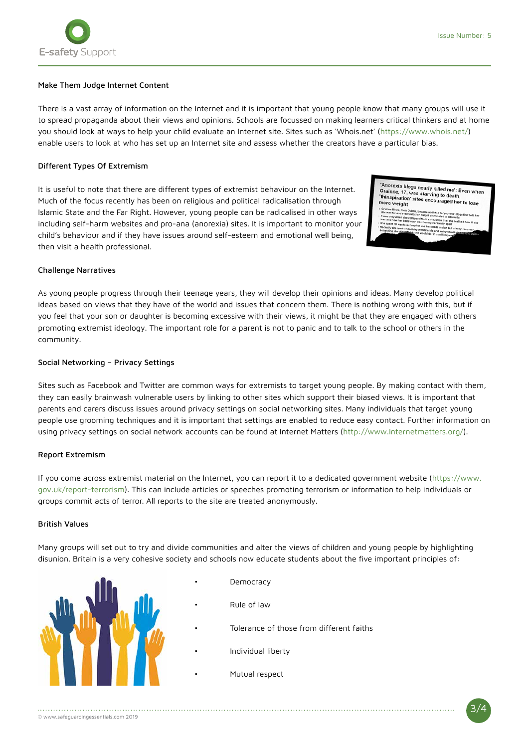

## Make Them Judge Internet Content

There is a vast array of information on the Internet and it is important that young people know that many groups will use it to spread propaganda about their views and opinions. Schools are focussed on making learners critical thinkers and at home you should look at ways to help your child evaluate an Internet site. Sites such as 'Whois.net' (https://www.whois.net/) enable users to look at who has set up an Internet site and assess whether the creators have a particular bias.

## Different Types Of Extremism

It is useful to note that there are different types of extremist behaviour on the Internet. Much of the focus recently has been on religious and political radicalisation through Islamic State and the Far Right. However, young people can be radicalised in other ways including self-harm websites and pro-ana (anorexia) sites. It is important to monitor your child's behaviour and if they have issues around self-esteem and emotional well being, then visit a health professional.

Anorexia blogs nearly killed me': Even whe<br>Grainne, 17, was starving to death,<br>'thinspiration' sites encouraged her to lose<br>more weight more weight

# Challenge Narratives

As young people progress through their teenage years, they will develop their opinions and ideas. Many develop political ideas based on views that they have of the world and issues that concern them. There is nothing wrong with this, but if you feel that your son or daughter is becoming excessive with their views, it might be that they are engaged with others promoting extremist ideology. The important role for a parent is not to panic and to talk to the school or others in the community.

#### Social Networking – Privacy Settings

Sites such as Facebook and Twitter are common ways for extremists to target young people. By making contact with them, they can easily brainwash vulnerable users by linking to other sites which support their biased views. It is important that parents and carers discuss issues around privacy settings on social networking sites. Many individuals that target young people use grooming techniques and it is important that settings are enabled to reduce easy contact. Further information on using privacy settings on social network accounts can be found at Internet Matters (http://www.Internetmatters.org/).

### Report Extremism

If you come across extremist material on the Internet, you can report it to a dedicated government website (https://www. gov.uk/report-terrorism). This can include articles or speeches promoting terrorism or information to help individuals or groups commit acts of terror. All reports to the site are treated anonymously.

## British Values

Many groups will set out to try and divide communities and alter the views of children and young people by highlighting disunion. Britain is a very cohesive society and schools now educate students about the five important principles of:



- **Democracy**
- Rule of law
- Tolerance of those from different faiths

- Individual liberty
	- Mutual respect